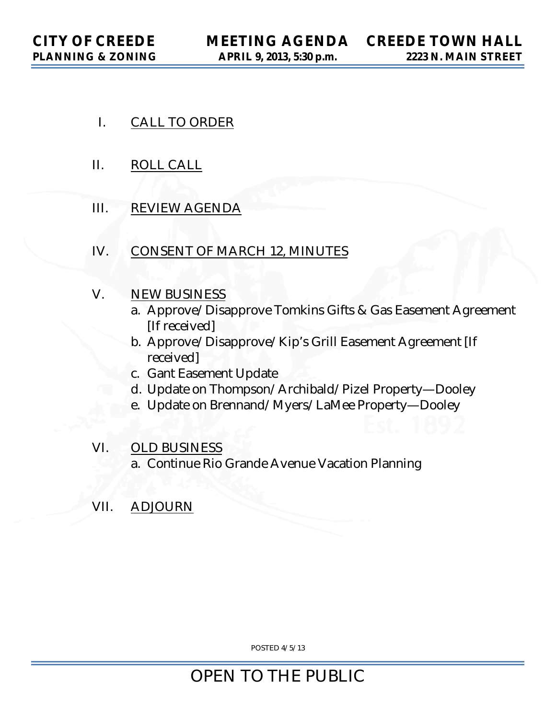- I. CALL TO ORDER
- II. ROLL CALL
- III. REVIEW AGENDA
- IV. CONSENT OF MARCH 12, MINUTES
- V. NEW BUSINESS
	- a. Approve/Disapprove Tomkins Gifts & Gas Easement Agreement [If received]
	- b. Approve/Disapprove/Kip's Grill Easement Agreement [If received]
	- c. Gant Easement Update
	- d. Update on Thompson/Archibald/Pizel Property—Dooley
	- e. Update on Brennand/Myers/LaMee Property—Dooley
- VI. OLD BUSINESS
	- a. Continue Rio Grande Avenue Vacation Planning
- VII. ADJOURN

POSTED 4/5/13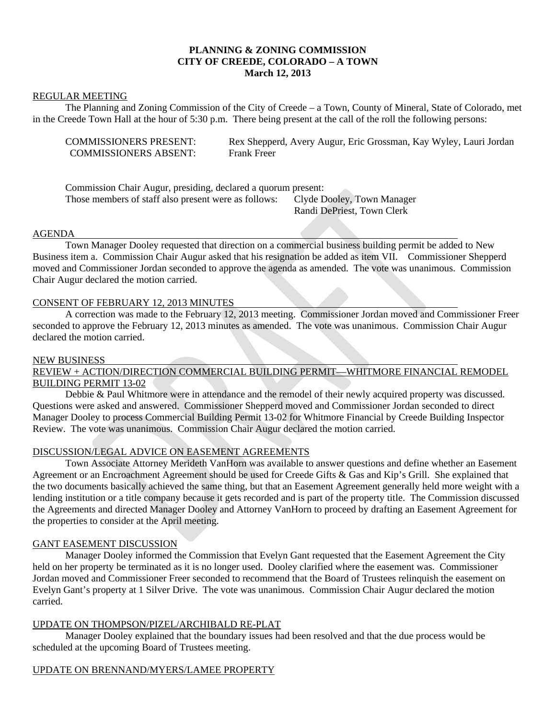# **PLANNING & ZONING COMMISSION CITY OF CREEDE, COLORADO – A TOWN March 12, 2013**

#### REGULAR MEETING

 The Planning and Zoning Commission of the City of Creede – a Town, County of Mineral, State of Colorado, met in the Creede Town Hall at the hour of 5:30 p.m. There being present at the call of the roll the following persons:

| <b>COMMISSIONERS PRESENT:</b> | Rex Shepperd, Avery Augur, Eric Grossman, Kay Wyley, Lauri Jordan |
|-------------------------------|-------------------------------------------------------------------|
| <b>COMMISSIONERS ABSENT:</b>  | <b>Frank Freer</b>                                                |

| Commission Chair Augur, presiding, declared a quorum present: |                            |
|---------------------------------------------------------------|----------------------------|
| Those members of staff also present were as follows:          | Clyde Dooley, Town Manager |
|                                                               | Randi DePriest, Town Clerk |

#### AGENDA

 Town Manager Dooley requested that direction on a commercial business building permit be added to New Business item a. Commission Chair Augur asked that his resignation be added as item VII. Commissioner Shepperd moved and Commissioner Jordan seconded to approve the agenda as amended. The vote was unanimous. Commission Chair Augur declared the motion carried.

## CONSENT OF FEBRUARY 12, 2013 MINUTES

 A correction was made to the February 12, 2013 meeting. Commissioner Jordan moved and Commissioner Freer seconded to approve the February 12, 2013 minutes as amended. The vote was unanimous. Commission Chair Augur declared the motion carried.

#### NEW BUSINESS

REVIEW + ACTION/DIRECTION COMMERCIAL BUILDING PERMIT—WHITMORE FINANCIAL REMODEL BUILDING PERMIT 13-02

 Debbie & Paul Whitmore were in attendance and the remodel of their newly acquired property was discussed. Questions were asked and answered. Commissioner Shepperd moved and Commissioner Jordan seconded to direct Manager Dooley to process Commercial Building Permit 13-02 for Whitmore Financial by Creede Building Inspector Review. The vote was unanimous. Commission Chair Augur declared the motion carried.

## DISCUSSION/LEGAL ADVICE ON EASEMENT AGREEMENTS

 Town Associate Attorney Merideth VanHorn was available to answer questions and define whether an Easement Agreement or an Encroachment Agreement should be used for Creede Gifts & Gas and Kip's Grill. She explained that the two documents basically achieved the same thing, but that an Easement Agreement generally held more weight with a lending institution or a title company because it gets recorded and is part of the property title. The Commission discussed the Agreements and directed Manager Dooley and Attorney VanHorn to proceed by drafting an Easement Agreement for the properties to consider at the April meeting.

#### GANT EASEMENT DISCUSSION

 Manager Dooley informed the Commission that Evelyn Gant requested that the Easement Agreement the City held on her property be terminated as it is no longer used. Dooley clarified where the easement was. Commissioner Jordan moved and Commissioner Freer seconded to recommend that the Board of Trustees relinquish the easement on Evelyn Gant's property at 1 Silver Drive. The vote was unanimous. Commission Chair Augur declared the motion carried.

## UPDATE ON THOMPSON/PIZEL/ARCHIBALD RE-PLAT

 Manager Dooley explained that the boundary issues had been resolved and that the due process would be scheduled at the upcoming Board of Trustees meeting.

## UPDATE ON BRENNAND/MYERS/LAMEE PROPERTY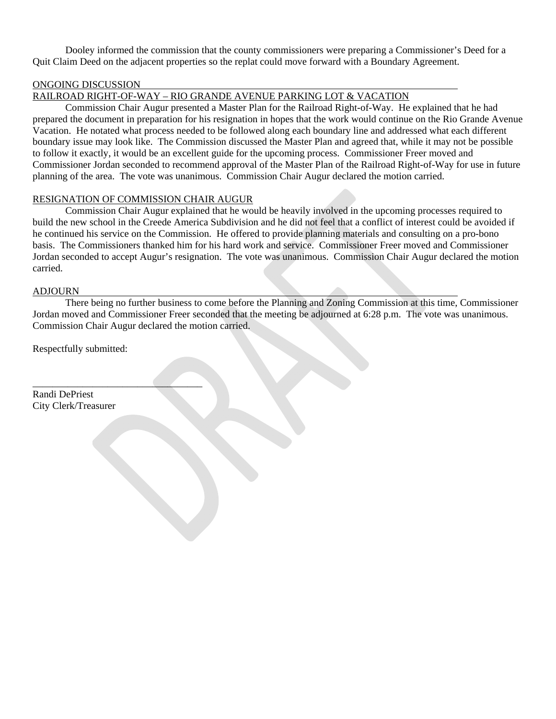Dooley informed the commission that the county commissioners were preparing a Commissioner's Deed for a Quit Claim Deed on the adjacent properties so the replat could move forward with a Boundary Agreement.

### ONGOING DISCUSSION

## RAILROAD RIGHT-OF-WAY – RIO GRANDE AVENUE PARKING LOT & VACATION

 Commission Chair Augur presented a Master Plan for the Railroad Right-of-Way. He explained that he had prepared the document in preparation for his resignation in hopes that the work would continue on the Rio Grande Avenue Vacation. He notated what process needed to be followed along each boundary line and addressed what each different boundary issue may look like. The Commission discussed the Master Plan and agreed that, while it may not be possible to follow it exactly, it would be an excellent guide for the upcoming process. Commissioner Freer moved and Commissioner Jordan seconded to recommend approval of the Master Plan of the Railroad Right-of-Way for use in future planning of the area. The vote was unanimous. Commission Chair Augur declared the motion carried.

#### RESIGNATION OF COMMISSION CHAIR AUGUR

 Commission Chair Augur explained that he would be heavily involved in the upcoming processes required to build the new school in the Creede America Subdivision and he did not feel that a conflict of interest could be avoided if he continued his service on the Commission. He offered to provide planning materials and consulting on a pro-bono basis. The Commissioners thanked him for his hard work and service. Commissioner Freer moved and Commissioner Jordan seconded to accept Augur's resignation. The vote was unanimous. Commission Chair Augur declared the motion carried.

#### ADJOURN

 There being no further business to come before the Planning and Zoning Commission at this time, Commissioner Jordan moved and Commissioner Freer seconded that the meeting be adjourned at 6:28 p.m. The vote was unanimous. Commission Chair Augur declared the motion carried.

Respectfully submitted:

 $\overline{\phantom{a}}$  , where  $\overline{\phantom{a}}$  , where  $\overline{\phantom{a}}$  , where  $\overline{\phantom{a}}$ 

Randi DePriest City Clerk/Treasurer